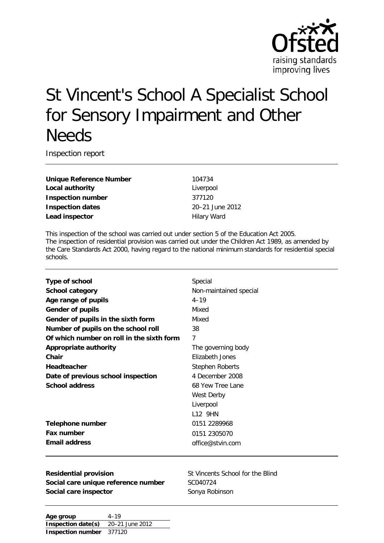

# St Vincent's School A Specialist School for Sensory Impairment and Other **Needs**

Inspection report

**Unique Reference Number** 104734 **Local authority** Liverpool **Inspection number** 377120 **Inspection dates** 20–21 June 2012 **Lead inspector Hilary Ward** 

This inspection of the school was carried out under section 5 of the Education Act 2005. The inspection of residential provision was carried out under the Children Act 1989, as amended by the Care Standards Act 2000, having regard to the national minimum standards for residential special schools.

| Type of school                            | Special                |
|-------------------------------------------|------------------------|
| <b>School category</b>                    | Non-maintained special |
| Age range of pupils                       | $4 - 19$               |
| <b>Gender of pupils</b>                   | Mixed                  |
| Gender of pupils in the sixth form        | Mixed                  |
| Number of pupils on the school roll       | 38                     |
| Of which number on roll in the sixth form | 7                      |
| <b>Appropriate authority</b>              | The governing body     |
| Chair                                     | Elizabeth Jones        |
| <b>Headteacher</b>                        | <b>Stephen Roberts</b> |
| Date of previous school inspection        | 4 December 2008        |
| <b>School address</b>                     | 68 Yew Tree Lane       |
|                                           | West Derby             |
|                                           | Liverpool              |
|                                           | 112 9HN                |
| Telephone number                          | 0151 2289968           |
| Fax number                                | 0151 2305070           |
| <b>Email address</b>                      | office@stvin.com       |
|                                           |                        |

**Residential provision** St Vincents School for the Blind Social care unique reference number SC040724 **Social care inspector** Sonya Robinson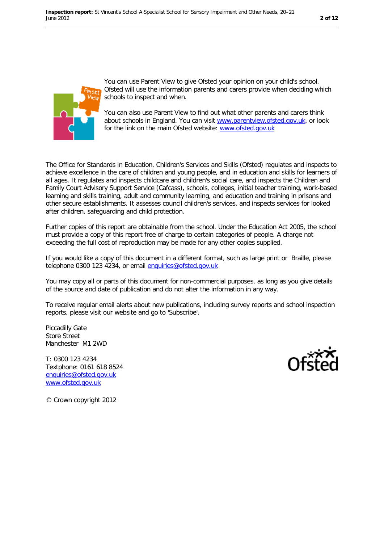

You can use Parent View to give Ofsted your opinion on your child's school. Ofsted will use the information parents and carers provide when deciding which schools to inspect and when.

You can also use Parent View to find out what other parents and carers think about schools in England. You can visit www.parentview.ofsted.gov.uk, or look for the link on the main Ofsted website: www.ofsted.gov.uk

The Office for Standards in Education, Children's Services and Skills (Ofsted) regulates and inspects to achieve excellence in the care of children and young people, and in education and skills for learners of all ages. It regulates and inspects childcare and children's social care, and inspects the Children and Family Court Advisory Support Service (Cafcass), schools, colleges, initial teacher training, work-based learning and skills training, adult and community learning, and education and training in prisons and other secure establishments. It assesses council children's services, and inspects services for looked after children, safeguarding and child protection.

Further copies of this report are obtainable from the school. Under the Education Act 2005, the school must provide a copy of this report free of charge to certain categories of people. A charge not exceeding the full cost of reproduction may be made for any other copies supplied.

If you would like a copy of this document in a different format, such as large print or Braille, please telephone 0300 123 4234, or email [enquiries@ofsted.gov.uk](mailto:enquiries@ofsted.gov.uk)

You may copy all or parts of this document for non-commercial purposes, as long as you give details of the source and date of publication and do not alter the information in any way.

To receive regular email alerts about new publications, including survey reports and school inspection reports, please visit our website and go to 'Subscribe'.

Piccadilly Gate Store Street Manchester M1 2WD

T: 0300 123 4234 Textphone: 0161 618 8524 [enquiries@ofsted.gov.uk](mailto:enquiries@ofsted.gov.uk) [www.ofsted.gov.uk](http://www.ofsted.gov.uk/)



© Crown copyright 2012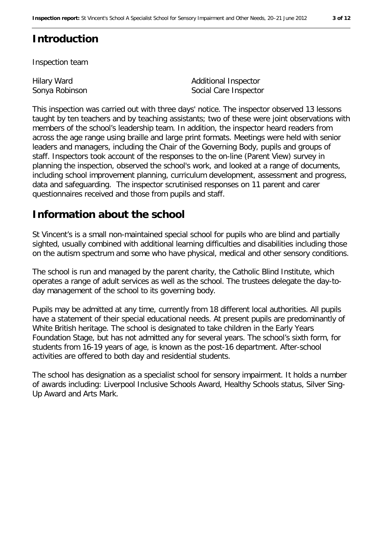# **Introduction**

Inspection team

Hilary Ward Sonya Robinson Additional Inspector Social Care Inspector

This inspection was carried out with three days' notice. The inspector observed 13 lessons taught by ten teachers and by teaching assistants; two of these were joint observations with members of the school's leadership team. In addition, the inspector heard readers from across the age range using braille and large print formats. Meetings were held with senior leaders and managers, including the Chair of the Governing Body, pupils and groups of staff. Inspectors took account of the responses to the on-line (Parent View) survey in planning the inspection, observed the school's work, and looked at a range of documents, including school improvement planning, curriculum development, assessment and progress, data and safeguarding. The inspector scrutinised responses on 11 parent and carer questionnaires received and those from pupils and staff.

## **Information about the school**

St Vincent's is a small non-maintained special school for pupils who are blind and partially sighted, usually combined with additional learning difficulties and disabilities including those on the autism spectrum and some who have physical, medical and other sensory conditions.

The school is run and managed by the parent charity, the Catholic Blind Institute, which operates a range of adult services as well as the school. The trustees delegate the day-today management of the school to its governing body.

Pupils may be admitted at any time, currently from 18 different local authorities. All pupils have a statement of their special educational needs. At present pupils are predominantly of White British heritage. The school is designated to take children in the Early Years Foundation Stage, but has not admitted any for several years. The school's sixth form, for students from 16-19 years of age, is known as the post-16 department. After-school activities are offered to both day and residential students.

The school has designation as a specialist school for sensory impairment. It holds a number of awards including: Liverpool Inclusive Schools Award, Healthy Schools status, Silver Sing-Up Award and Arts Mark.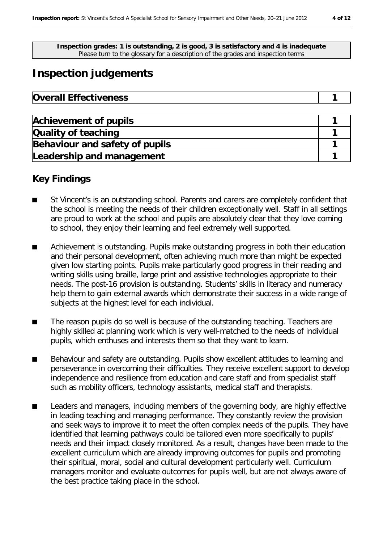**Inspection grades: 1 is outstanding, 2 is good, 3 is satisfactory and 4 is inadequate** Please turn to the glossary for a description of the grades and inspection terms

# **Inspection judgements**

| <b>Overall Effectiveness</b> |  |
|------------------------------|--|
|------------------------------|--|

| <b>Achievement of pupils</b>   |  |
|--------------------------------|--|
| Quality of teaching            |  |
| Behaviour and safety of pupils |  |
| Leadership and management      |  |

## **Key Findings**

- St Vincent's is an outstanding school. Parents and carers are completely confident that the school is meeting the needs of their children exceptionally well. Staff in all settings are proud to work at the school and pupils are absolutely clear that they love coming to school, they enjoy their learning and feel extremely well supported.
- Achievement is outstanding. Pupils make outstanding progress in both their education and their personal development, often achieving much more than might be expected given low starting points. Pupils make particularly good progress in their reading and writing skills using braille, large print and assistive technologies appropriate to their needs. The post-16 provision is outstanding. Students' skills in literacy and numeracy help them to gain external awards which demonstrate their success in a wide range of subjects at the highest level for each individual.
- The reason pupils do so well is because of the outstanding teaching. Teachers are highly skilled at planning work which is very well-matched to the needs of individual pupils, which enthuses and interests them so that they want to learn.
- Behaviour and safety are outstanding. Pupils show excellent attitudes to learning and perseverance in overcoming their difficulties. They receive excellent support to develop independence and resilience from education and care staff and from specialist staff such as mobility officers, technology assistants, medical staff and therapists.
- Leaders and managers, including members of the governing body, are highly effective in leading teaching and managing performance. They constantly review the provision and seek ways to improve it to meet the often complex needs of the pupils. They have identified that learning pathways could be tailored even more specifically to pupils' needs and their impact closely monitored. As a result, changes have been made to the excellent curriculum which are already improving outcomes for pupils and promoting their spiritual, moral, social and cultural development particularly well. Curriculum managers monitor and evaluate outcomes for pupils well, but are not always aware of the best practice taking place in the school.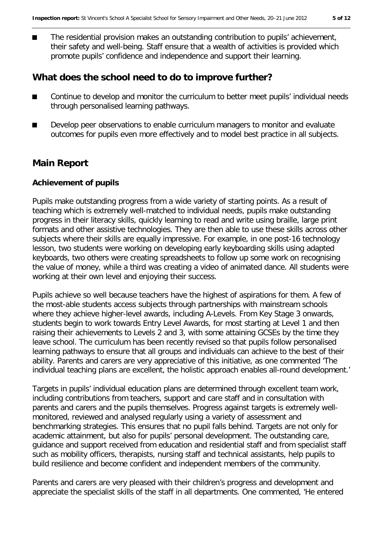■ The residential provision makes an outstanding contribution to pupils' achievement, their safety and well-being. Staff ensure that a wealth of activities is provided which promote pupils' confidence and independence and support their learning.

#### **What does the school need to do to improve further?**

- Continue to develop and monitor the curriculum to better meet pupils' individual needs through personalised learning pathways.
- Develop peer observations to enable curriculum managers to monitor and evaluate outcomes for pupils even more effectively and to model best practice in all subjects.

#### **Main Report**

#### **Achievement of pupils**

Pupils make outstanding progress from a wide variety of starting points. As a result of teaching which is extremely well-matched to individual needs, pupils make outstanding progress in their literacy skills, quickly learning to read and write using braille, large print formats and other assistive technologies. They are then able to use these skills across other subjects where their skills are equally impressive. For example, in one post-16 technology lesson, two students were working on developing early keyboarding skills using adapted keyboards, two others were creating spreadsheets to follow up some work on recognising the value of money, while a third was creating a video of animated dance. All students were working at their own level and enjoying their success.

Pupils achieve so well because teachers have the highest of aspirations for them. A few of the most-able students access subjects through partnerships with mainstream schools where they achieve higher-level awards, including A-Levels. From Key Stage 3 onwards, students begin to work towards Entry Level Awards, for most starting at Level 1 and then raising their achievements to Levels 2 and 3, with some attaining GCSEs by the time they leave school. The curriculum has been recently revised so that pupils follow personalised learning pathways to ensure that all groups and individuals can achieve to the best of their ability. Parents and carers are very appreciative of this initiative, as one commented 'The individual teaching plans are excellent, the holistic approach enables all-round development.'

Targets in pupils' individual education plans are determined through excellent team work, including contributions from teachers, support and care staff and in consultation with parents and carers and the pupils themselves. Progress against targets is extremely wellmonitored, reviewed and analysed regularly using a variety of assessment and benchmarking strategies. This ensures that no pupil falls behind. Targets are not only for academic attainment, but also for pupils' personal development. The outstanding care, guidance and support received from education and residential staff and from specialist staff such as mobility officers, therapists, nursing staff and technical assistants, help pupils to build resilience and become confident and independent members of the community.

Parents and carers are very pleased with their children's progress and development and appreciate the specialist skills of the staff in all departments. One commented, 'He entered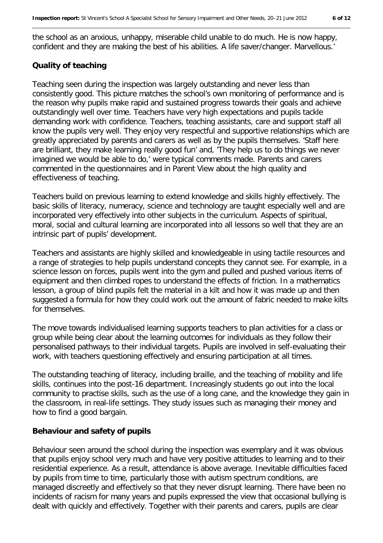the school as an anxious, unhappy, miserable child unable to do much. He is now happy, confident and they are making the best of his abilities. A life saver/changer. Marvellous.'

#### **Quality of teaching**

Teaching seen during the inspection was largely outstanding and never less than consistently good. This picture matches the school's own monitoring of performance and is the reason why pupils make rapid and sustained progress towards their goals and achieve outstandingly well over time. Teachers have very high expectations and pupils tackle demanding work with confidence. Teachers, teaching assistants, care and support staff all know the pupils very well. They enjoy very respectful and supportive relationships which are greatly appreciated by parents and carers as well as by the pupils themselves. 'Staff here are brilliant, they make learning really good fun' and, 'They help us to do things we never imagined we would be able to do,' were typical comments made. Parents and carers commented in the questionnaires and in Parent View about the high quality and effectiveness of teaching.

Teachers build on previous learning to extend knowledge and skills highly effectively. The basic skills of literacy, numeracy, science and technology are taught especially well and are incorporated very effectively into other subjects in the curriculum. Aspects of spiritual, moral, social and cultural learning are incorporated into all lessons so well that they are an intrinsic part of pupils' development.

Teachers and assistants are highly skilled and knowledgeable in using tactile resources and a range of strategies to help pupils understand concepts they cannot see. For example, in a science lesson on forces, pupils went into the gym and pulled and pushed various items of equipment and then climbed ropes to understand the effects of friction. In a mathematics lesson, a group of blind pupils felt the material in a kilt and how it was made up and then suggested a formula for how they could work out the amount of fabric needed to make kilts for themselves.

The move towards individualised learning supports teachers to plan activities for a class or group while being clear about the learning outcomes for individuals as they follow their personalised pathways to their individual targets. Pupils are involved in self-evaluating their work, with teachers questioning effectively and ensuring participation at all times.

The outstanding teaching of literacy, including braille, and the teaching of mobility and life skills, continues into the post-16 department. Increasingly students go out into the local community to practise skills, such as the use of a long cane, and the knowledge they gain in the classroom, in real-life settings. They study issues such as managing their money and how to find a good bargain.

#### **Behaviour and safety of pupils**

Behaviour seen around the school during the inspection was exemplary and it was obvious that pupils enjoy school very much and have very positive attitudes to learning and to their residential experience. As a result, attendance is above average. Inevitable difficulties faced by pupils from time to time, particularly those with autism spectrum conditions, are managed discreetly and effectively so that they never disrupt learning. There have been no incidents of racism for many years and pupils expressed the view that occasional bullying is dealt with quickly and effectively. Together with their parents and carers, pupils are clear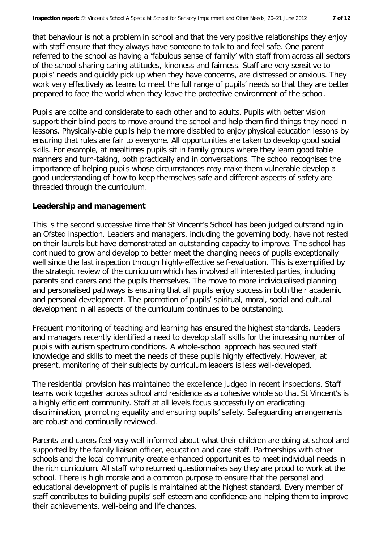that behaviour is not a problem in school and that the very positive relationships they enjoy with staff ensure that they always have someone to talk to and feel safe. One parent referred to the school as having a 'fabulous sense of family' with staff from across all sectors of the school sharing caring attitudes, kindness and fairness. Staff are very sensitive to pupils' needs and quickly pick up when they have concerns, are distressed or anxious. They work very effectively as teams to meet the full range of pupils' needs so that they are better prepared to face the world when they leave the protective environment of the school.

Pupils are polite and considerate to each other and to adults. Pupils with better vision support their blind peers to move around the school and help them find things they need in lessons. Physically-able pupils help the more disabled to enjoy physical education lessons by ensuring that rules are fair to everyone. All opportunities are taken to develop good social skills. For example, at mealtimes pupils sit in family groups where they learn good table manners and turn-taking, both practically and in conversations. The school recognises the importance of helping pupils whose circumstances may make them vulnerable develop a good understanding of how to keep themselves safe and different aspects of safety are threaded through the curriculum.

#### **Leadership and management**

This is the second successive time that St Vincent's School has been judged outstanding in an Ofsted inspection. Leaders and managers, including the governing body, have not rested on their laurels but have demonstrated an outstanding capacity to improve. The school has continued to grow and develop to better meet the changing needs of pupils exceptionally well since the last inspection through highly-effective self-evaluation. This is exemplified by the strategic review of the curriculum which has involved all interested parties, including parents and carers and the pupils themselves. The move to more individualised planning and personalised pathways is ensuring that all pupils enjoy success in both their academic and personal development. The promotion of pupils' spiritual, moral, social and cultural development in all aspects of the curriculum continues to be outstanding.

Frequent monitoring of teaching and learning has ensured the highest standards. Leaders and managers recently identified a need to develop staff skills for the increasing number of pupils with autism spectrum conditions. A whole-school approach has secured staff knowledge and skills to meet the needs of these pupils highly effectively. However, at present, monitoring of their subjects by curriculum leaders is less well-developed.

The residential provision has maintained the excellence judged in recent inspections. Staff teams work together across school and residence as a cohesive whole so that St Vincent's is a highly efficient community. Staff at all levels focus successfully on eradicating discrimination, promoting equality and ensuring pupils' safety. Safeguarding arrangements are robust and continually reviewed.

Parents and carers feel very well-informed about what their children are doing at school and supported by the family liaison officer, education and care staff. Partnerships with other schools and the local community create enhanced opportunities to meet individual needs in the rich curriculum. All staff who returned questionnaires say they are proud to work at the school. There is high morale and a common purpose to ensure that the personal and educational development of pupils is maintained at the highest standard. Every member of staff contributes to building pupils' self-esteem and confidence and helping them to improve their achievements, well-being and life chances.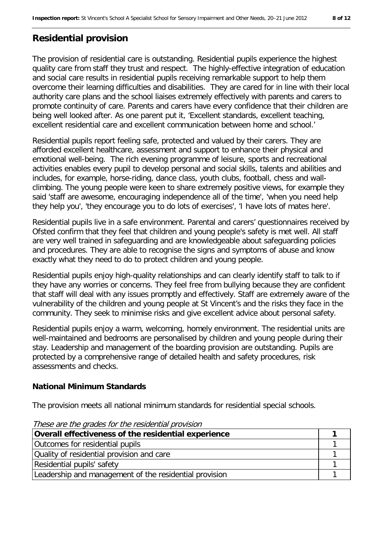## **Residential provision**

The provision of residential care is outstanding. Residential pupils experience the highest quality care from staff they trust and respect. The highly-effective integration of education and social care results in residential pupils receiving remarkable support to help them overcome their learning difficulties and disabilities. They are cared for in line with their local authority care plans and the school liaises extremely effectively with parents and carers to promote continuity of care. Parents and carers have every confidence that their children are being well looked after. As one parent put it, 'Excellent standards, excellent teaching, excellent residential care and excellent communication between home and school.'

Residential pupils report feeling safe, protected and valued by their carers. They are afforded excellent healthcare, assessment and support to enhance their physical and emotional well-being. The rich evening programme of leisure, sports and recreational activities enables every pupil to develop personal and social skills, talents and abilities and includes, for example, horse-riding, dance class, youth clubs, football, chess and wallclimbing. The young people were keen to share extremely positive views, for example they said 'staff are awesome, encouraging independence all of the time', 'when you need help they help you', 'they encourage you to do lots of exercises', 'I have lots of mates here'.

Residential pupils live in a safe environment. Parental and carers' questionnaires received by Ofsted confirm that they feel that children and young people's safety is met well. All staff are very well trained in safeguarding and are knowledgeable about safeguarding policies and procedures. They are able to recognise the signs and symptoms of abuse and know exactly what they need to do to protect children and young people.

Residential pupils enjoy high-quality relationships and can clearly identify staff to talk to if they have any worries or concerns. They feel free from bullying because they are confident that staff will deal with any issues promptly and effectively. Staff are extremely aware of the vulnerability of the children and young people at St Vincent's and the risks they face in the community. They seek to minimise risks and give excellent advice about personal safety.

Residential pupils enjoy a warm, welcoming, homely environment. The residential units are well-maintained and bedrooms are personalised by children and young people during their stay. Leadership and management of the boarding provision are outstanding. Pupils are protected by a comprehensive range of detailed health and safety procedures, risk assessments and checks.

#### **National Minimum Standards**

The provision meets all national minimum standards for residential special schools.

| <i>hose are the grades for the residential provision</i> |  |
|----------------------------------------------------------|--|
| Overall effectiveness of the residential experience      |  |
| Outcomes for residential pupils                          |  |
| Quality of residential provision and care                |  |
| Residential pupils' safety                               |  |
| Leadership and management of the residential provision   |  |

These are the grades for the residential provision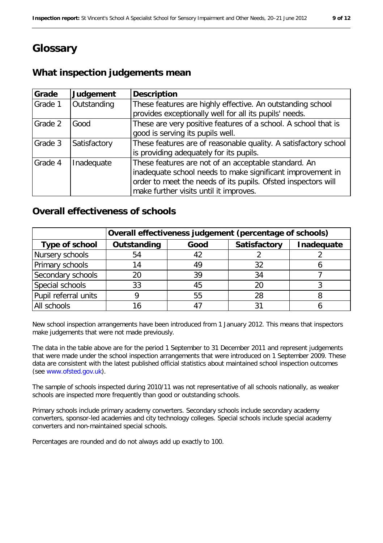# **Glossary**

## **What inspection judgements mean**

| Grade   | Judgement    | <b>Description</b>                                                                                                                                                                                                            |
|---------|--------------|-------------------------------------------------------------------------------------------------------------------------------------------------------------------------------------------------------------------------------|
| Grade 1 | Outstanding  | These features are highly effective. An outstanding school<br>provides exceptionally well for all its pupils' needs.                                                                                                          |
| Grade 2 | Good         | These are very positive features of a school. A school that is<br>good is serving its pupils well.                                                                                                                            |
| Grade 3 | Satisfactory | These features are of reasonable quality. A satisfactory school<br>is providing adequately for its pupils.                                                                                                                    |
| Grade 4 | Inadequate   | These features are not of an acceptable standard. An<br>inadequate school needs to make significant improvement in<br>order to meet the needs of its pupils. Ofsted inspectors will<br>make further visits until it improves. |

#### **Overall effectiveness of schools**

|                      | Overall effectiveness judgement (percentage of schools) |      |              |            |
|----------------------|---------------------------------------------------------|------|--------------|------------|
| Type of school       | Outstanding                                             | Good | Satisfactory | Inadequate |
| Nursery schools      | 54                                                      | 42   |              |            |
| Primary schools      | 14                                                      | 49   | 32           |            |
| Secondary schools    | 20                                                      | 39   | 34           |            |
| Special schools      | 33                                                      | 45   | 20           |            |
| Pupil referral units |                                                         | 55   | 28           |            |
| All schools          |                                                         |      |              |            |

New school inspection arrangements have been introduced from 1 January 2012. This means that inspectors make judgements that were not made previously.

The data in the table above are for the period 1 September to 31 December 2011 and represent judgements that were made under the school inspection arrangements that were introduced on 1 September 2009. These data are consistent with the latest published official statistics about maintained school inspection outcomes (see www.ofsted.gov.uk).

The sample of schools inspected during 2010/11 was not representative of all schools nationally, as weaker schools are inspected more frequently than good or outstanding schools.

Primary schools include primary academy converters. Secondary schools include secondary academy converters, sponsor-led academies and city technology colleges. Special schools include special academy converters and non-maintained special schools.

Percentages are rounded and do not always add up exactly to 100.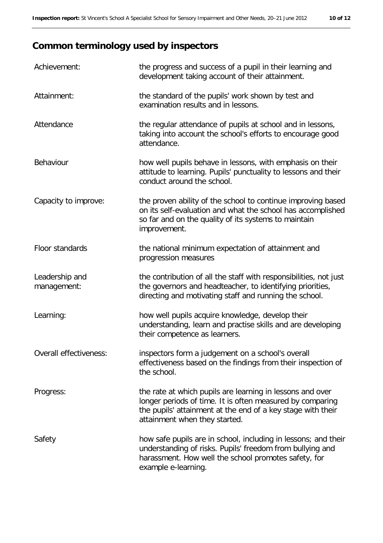# **Common terminology used by inspectors**

| Achievement:                  | the progress and success of a pupil in their learning and<br>development taking account of their attainment.                                                                                                           |
|-------------------------------|------------------------------------------------------------------------------------------------------------------------------------------------------------------------------------------------------------------------|
| Attainment:                   | the standard of the pupils' work shown by test and<br>examination results and in lessons.                                                                                                                              |
| Attendance                    | the regular attendance of pupils at school and in lessons,<br>taking into account the school's efforts to encourage good<br>attendance.                                                                                |
| Behaviour                     | how well pupils behave in lessons, with emphasis on their<br>attitude to learning. Pupils' punctuality to lessons and their<br>conduct around the school.                                                              |
| Capacity to improve:          | the proven ability of the school to continue improving based<br>on its self-evaluation and what the school has accomplished<br>so far and on the quality of its systems to maintain<br>improvement.                    |
| Floor standards               | the national minimum expectation of attainment and<br>progression measures                                                                                                                                             |
| Leadership and<br>management: | the contribution of all the staff with responsibilities, not just<br>the governors and headteacher, to identifying priorities,<br>directing and motivating staff and running the school.                               |
| Learning:                     | how well pupils acquire knowledge, develop their<br>understanding, learn and practise skills and are developing<br>their competence as learners.                                                                       |
| Overall effectiveness:        | inspectors form a judgement on a school's overall<br>effectiveness based on the findings from their inspection of<br>the school.                                                                                       |
| Progress:                     | the rate at which pupils are learning in lessons and over<br>longer periods of time. It is often measured by comparing<br>the pupils' attainment at the end of a key stage with their<br>attainment when they started. |
| Safety                        | how safe pupils are in school, including in lessons; and their<br>understanding of risks. Pupils' freedom from bullying and<br>harassment. How well the school promotes safety, for<br>example e-learning.             |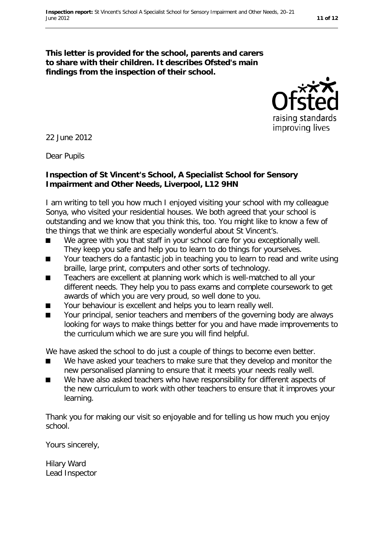

22 June 2012

Dear Pupils

#### **Inspection of St Vincent's School, A Specialist School for Sensory Impairment and Other Needs, Liverpool, L12 9HN**

I am writing to tell you how much I enjoyed visiting your school with my colleague Sonya, who visited your residential houses. We both agreed that your school is outstanding and we know that you think this, too. You might like to know a few of the things that we think are especially wonderful about St Vincent's.

- We agree with you that staff in your school care for you exceptionally well. They keep you safe and help you to learn to do things for yourselves.
- Your teachers do a fantastic job in teaching you to learn to read and write using braille, large print, computers and other sorts of technology.
- Teachers are excellent at planning work which is well-matched to all your different needs. They help you to pass exams and complete coursework to get awards of which you are very proud, so well done to you.
- Your behaviour is excellent and helps you to learn really well.<br>■ Your principal, senior teachers and members of the governing
- Your principal, senior teachers and members of the governing body are always looking for ways to make things better for you and have made improvements to the curriculum which we are sure you will find helpful.

We have asked the school to do just a couple of things to become even better.

- We have asked your teachers to make sure that they develop and monitor the new personalised planning to ensure that it meets your needs really well.
- We have also asked teachers who have responsibility for different aspects of the new curriculum to work with other teachers to ensure that it improves your learning.

Thank you for making our visit so enjoyable and for telling us how much you enjoy school.

Yours sincerely,

Hilary Ward Lead Inspector